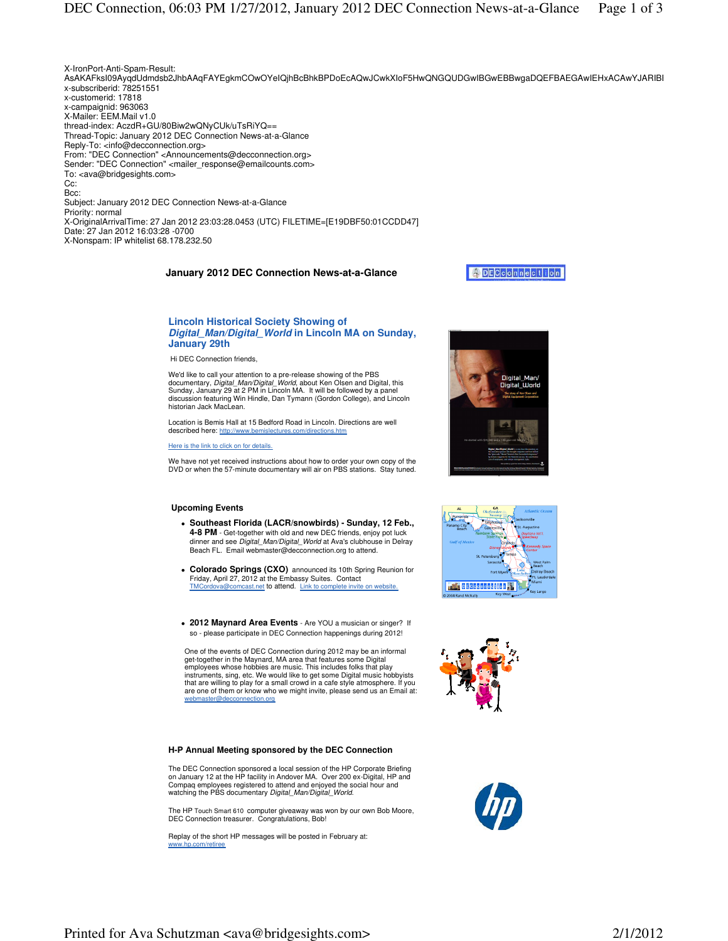# **Lincoln Historical Society Showing of Digital\_Man/Digital\_World in Lincoln MA on Sunday, January 29th**

Hi DEC Connection friends,

We'd like to call your attention to a pre-release showing of the PBS documentary, Digital Man/Digital World, about Ken Olsen and Digital, this Sunday, January 29 at 2 PM in Lincoln MA. It will be followed by a panel discussion featuring Win Hindle, Dan Tymann (Gordon College), and Lincoln historian Jack MacLean.

Location is Bemis Hall at 15 Bedford Road in Lincoln. Directions are well described here: http://www.bemislectures.com/directions.htm

Here is the link to click on for details.

We have not yet received instructions about how to order your own copy of the DVD or when the 57-minute documentary will air on PBS stations. Stay tuned.

#### **Upcoming Events**

- **Southeast Florida (LACR/snowbirds) Sunday, 12 Feb., 4-8 PM** - Get-together with old and new DEC friends, enjoy pot luck dinner and see Digital Man/Digital World at Ava's clubhouse in Delray Beach FL. Email webmaster@decconnection.org to attend.
- **Colorado Springs (CXO)** announced its 10th Spring Reunion for Friday, April 27, 2012 at the Embassy Suites. Contact TMCordova@comcast.net to attend. Link to complete invite on website.
- **2012 Maynard Area Events** Are YOU a musician or singer? If so - please participate in DEC Connection happenings during 2012!

One of the events of DEC Connection during 2012 may be an informal get-together in the Maynard, MA area that features some Digital employees whose hobbies are music. This includes folks that play instruments, sing, etc. We would like to get some Digital music hobbyists that are willing to play for a small crowd in a cafe style atmosphere. If you are one of them or know who we might invite, please send us an Email at: webmaster@decconnection.org

#### **H-P Annual Meeting sponsored by the DEC Connection**

The DEC Connection sponsored a local session of the HP Corporate Briefing on January 12 at the HP facility in Andover MA. Over 200 ex-Digital, HP and Compaq employees registered to attend and enjoyed the social hour and watching the PBS documentary Digital\_Man/Digital\_World.

The HP Touch Smart 610 computer giveaway was won by our own Bob Moore, DEC Connection treasurer. Congratulations, Bob!

Replay of the short HP messages will be posted in February at: www.hp.com/retiree







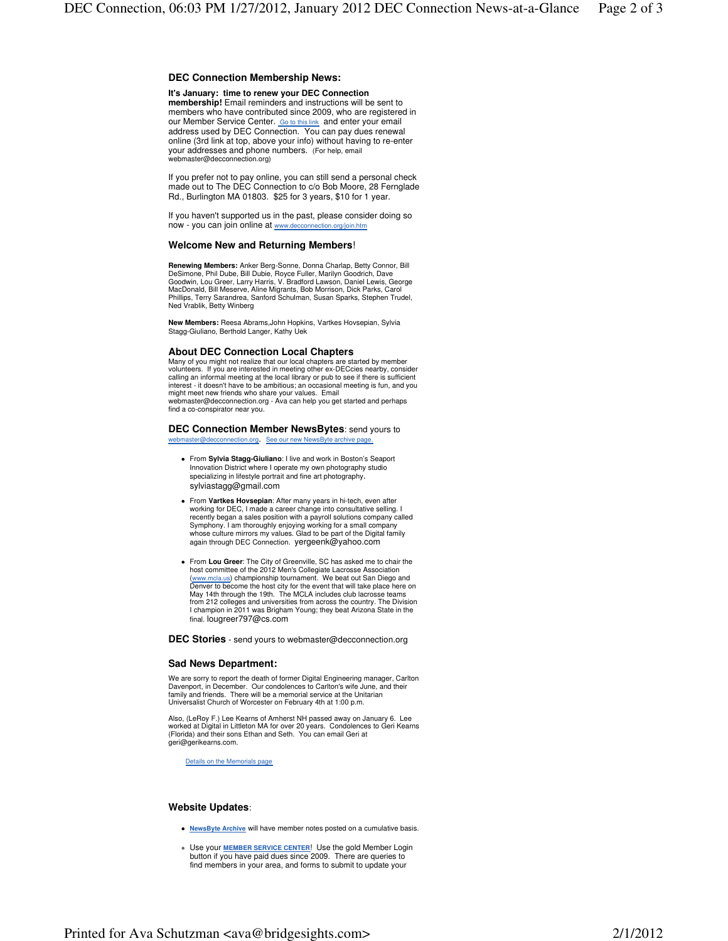# **DEC Connection Membership News:**

#### **It's January: time to renew your DEC Connection**

**membership!** Email reminders and instructions will be sent to members who have contributed since 2009, who are registered in our Member Service Center. **Go to this link** and enter your email address used by DEC Connection. You can pay dues renewal online (3rd link at top, above your info) without having to re-enter your addresses and phone numbers. (For help, email webmaster@decconnection.org)

If you prefer not to pay online, you can still send a personal check made out to The DEC Connection to c/o Bob Moore, 28 Fernglade Rd., Burlington MA 01803. \$25 for 3 years, \$10 for 1 year.

If you haven't supported us in the past, please consider doing so now - you can join online at www.decconnection.org/join.htm

## **Welcome New and Returning Members**!

**Renewing Members:** Anker Berg-Sonne, Donna Charlap, Betty Connor, Bill<br>DeSimone, Phil Dube, Bill Dubie, Royce Fuller, Marilyn Goodrich, Dave<br>Goodwin, Lou Greer, Larry Harris, V. Bradford Lawson, Daniel Lewis, George MacDonald, Bill Meserve, Aline Migrants, Bob Morrison, Dick Parks, Carol Phillips, Terry Sarandrea, Sanford Schulman, Susan Sparks, Stephen Trudel, Ned Vrablik, Betty Winberg

**New Members:** Reesa Abrams,John Hopkins, Vartkes Hovsepian, Sylvia Stagg-Giuliano, Berthold Langer, Kathy Uek

#### **About DEC Connection Local Chapters**

Many of you might not realize that our local chapters are started by member volunteers. If you are interested in meeting other ex-DECcies nearby, consider calling an informal meeting at the local library or pub to see if there is sufficient interest - it doesn't have to be ambitious; an occasional meeting is fun, and you might meet new friends who share your values. Email webmaster@decconnection.org - Ava can help you get started and perhaps find a co-conspirator near you.

# **DEC Connection Member NewsBytes**: send yours to

master@decconnection.org. See our new NewsByte archive page

- From **Sylvia Stagg-Giuliano**: I live and work in Boston's Seaport Innovation District where I operate my own photography studio specializing in lifestyle portrait and fine art photography. sylviastagg@gmail.com
- From **Vartkes Hovsepian**: After many years in hi-tech, even after working for DEC, I made a career change into consultative selling. I recently began a sales position with a payroll solutions company called Symphony. I am thoroughly enjoying working for a small company whose culture mirrors my values. Glad to be part of the Digital family again through DEC Connection. yergeenk@yahoo.com
- From **Lou Greer**: The City of Greenville, SC has asked me to chair the host committee of the 2012 Men's Collegiate Lacrosse Association (www.mcla.us) championship tournament. We beat out San Diego and Denver to become the host city for the event that will take place here on May 14th through the 19th. The MCLA includes club lacrosse teams from 212 colleges and universities from across the country. The Division I champion in 2011 was Brigham Young; they beat Arizona State in the final. lougreer797@cs.com

## **DEC Stories** - send yours to webmaster@decconnection.org

## **Sad News Department:**

We are sorry to report the death of former Digital Engineering manager, Carlton Davenport, in December. Our condolences to Carlton's wife June, and their family and friends. There will be a memorial service at the Unitarian Universalist Church of Worcester on February 4th at 1:00 p.m.

Also, (LeRoy F.) Lee Kearns of Amherst NH passed away on January 6. Lee worked at Digital in Littleton MA for over 20 years. Condolences to Geri Kearns (Florida) and their sons Ethan and Seth. You can email Geri at geri@gerikearns.com.

Details on the Memorials page

# **Website Updates**:

- **NewsByte Archive** will have member notes posted on a cumulative basis.
- Use your **MEMBER SERVICE CENTER**! Use the gold Member Login button if you have paid dues since 2009. There are queries to find members in your area, and forms to submit to update your